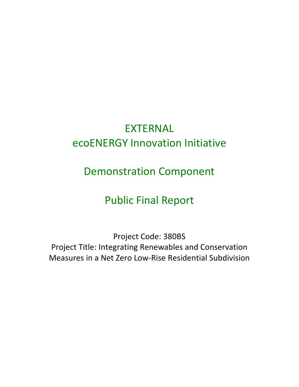# EXTERNAL ecoENERGY Innovation Initiative

Demonstration Component

# Public Final Report

Project Code: 380BS Project Title: Integrating Renewables and Conservation Measures in a Net Zero Low-Rise Residential Subdivision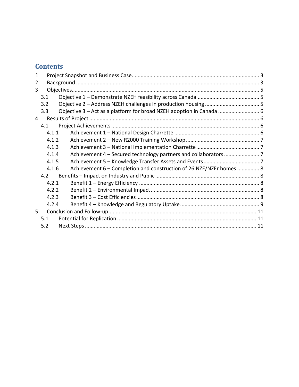## **Contents**

| 1 |       |                                                                      |  |  |
|---|-------|----------------------------------------------------------------------|--|--|
| 2 |       |                                                                      |  |  |
| 3 |       |                                                                      |  |  |
|   | 3.1   |                                                                      |  |  |
|   | 3.2   |                                                                      |  |  |
|   | 3.3   | Objective 3 - Act as a platform for broad NZEH adoption in Canada  6 |  |  |
| 4 |       |                                                                      |  |  |
|   | 4.1   |                                                                      |  |  |
|   | 4.1.1 |                                                                      |  |  |
|   | 4.1.2 |                                                                      |  |  |
|   | 4.1.3 |                                                                      |  |  |
|   | 4.1.4 |                                                                      |  |  |
|   | 4.1.5 |                                                                      |  |  |
|   | 4.1.6 | Achievement 6 - Completion and construction of 26 NZE/NZEr homes  8  |  |  |
|   | 4.2   |                                                                      |  |  |
|   | 4.2.1 |                                                                      |  |  |
|   | 4.2.2 |                                                                      |  |  |
|   | 4.2.3 |                                                                      |  |  |
|   | 4.2.4 |                                                                      |  |  |
| 5 |       |                                                                      |  |  |
|   | 5.1   |                                                                      |  |  |
|   | 5.2   |                                                                      |  |  |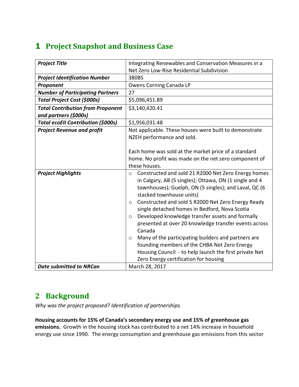# <span id="page-2-0"></span>**1 Project Snapshot and Business Case**

| <b>Project Title</b>                                              | Integrating Renewables and Conservation Measures in a                                                                                                                                                                                                                                                                                                                                                                                                                                                                                                                                                                                                                                  |
|-------------------------------------------------------------------|----------------------------------------------------------------------------------------------------------------------------------------------------------------------------------------------------------------------------------------------------------------------------------------------------------------------------------------------------------------------------------------------------------------------------------------------------------------------------------------------------------------------------------------------------------------------------------------------------------------------------------------------------------------------------------------|
|                                                                   | Net Zero Low-Rise Residential Subdivision                                                                                                                                                                                                                                                                                                                                                                                                                                                                                                                                                                                                                                              |
| <b>Project Identification Number</b>                              | 380BS                                                                                                                                                                                                                                                                                                                                                                                                                                                                                                                                                                                                                                                                                  |
| Proponent                                                         | Owens Corning Canada LP                                                                                                                                                                                                                                                                                                                                                                                                                                                                                                                                                                                                                                                                |
| <b>Number of Participating Partners</b>                           | 27                                                                                                                                                                                                                                                                                                                                                                                                                                                                                                                                                                                                                                                                                     |
| <b>Total Project Cost (\$000s)</b>                                | \$5,096,451.89                                                                                                                                                                                                                                                                                                                                                                                                                                                                                                                                                                                                                                                                         |
| <b>Total Contribution from Proponent</b><br>and partners (\$000s) | \$3,140,420.41                                                                                                                                                                                                                                                                                                                                                                                                                                                                                                                                                                                                                                                                         |
| <b>Total ecoEII Contribution (\$000s)</b>                         | \$1,956,031.48                                                                                                                                                                                                                                                                                                                                                                                                                                                                                                                                                                                                                                                                         |
| <b>Project Revenue and profit</b>                                 | Not applicable. These houses were built to demonstrate<br>NZEH performance and sold.                                                                                                                                                                                                                                                                                                                                                                                                                                                                                                                                                                                                   |
|                                                                   | Each home was sold at the market price of a standard<br>home. No profit was made on the net zero component of<br>these houses.                                                                                                                                                                                                                                                                                                                                                                                                                                                                                                                                                         |
| <b>Project Highlights</b>                                         | Constructed and sold 21 R2000 Net Zero Energy homes<br>$\circ$<br>in Calgary, AB (5 singles); Ottawa, ON (1 single and 4<br>townhouses); Guelph, ON (5 singles); and Laval, QC (6<br>stacked townhouse units)<br>Constructed and sold 5 R2000 Net Zero Energy Ready<br>$\circ$<br>single detached homes in Bedford, Nova Scotia<br>Developed knowledge transfer assets and formally<br>$\circ$<br>presented at over 20 knowledge transfer events across<br>Canada<br>Many of the participating builders and partners are<br>$\circ$<br>founding members of the CHBA Net Zero Energy<br>Housing Council - to help launch the first private Net<br>Zero Energy certification for housing |
| <b>Date submitted to NRCan</b>                                    | March 28, 2017                                                                                                                                                                                                                                                                                                                                                                                                                                                                                                                                                                                                                                                                         |

## <span id="page-2-1"></span>**2 Background**

*Why was the project proposed? Identification of partnerships.* 

**Housing accounts for 15% of Canada's secondary energy use and 15% of greenhouse gas emissions.** Growth in the housing stock has contributed to a net 14% increase in household energy use since 1990. The energy consumption and greenhouse gas emissions from this sector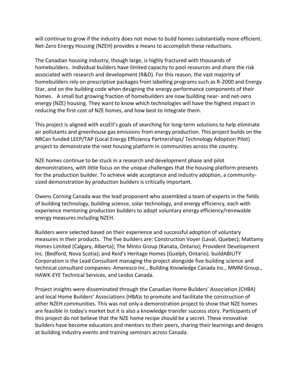will continue to grow if the industry does not move to build homes substantially more efficient. Net-Zero Energy Housing (NZEH) provides a means to accomplish these reductions.

The Canadian housing industry, though large, is highly fractured with thousands of homebuilders. Individual builders have limited capacity to pool resources and share the risk associated with research and development (R&D). For this reason, the vast majority of homebuilders rely on prescriptive packages from labelling programs such as R-2000 and Energy Star, and on the building code when designing the energy performance components of their homes. A small but growing fraction of homebuilders are now building near- and net-zero energy (NZE) housing. They want to know which technologies will have the highest impact in reducing the first cost of NZE homes, and how best to integrate them.

This project is aligned with ecoEII's goals of searching for long-term solutions to help eliminate air pollutants and greenhouse gas emissions from energy production. This project builds on the NRCan funded LEEP/TAP (Local Energy Efficiency Partnerships/ Technology Adoption Pilot) project to demonstrate the next housing platform in communities across the country.

NZE homes continue to be stuck in a research and development phase and pilot demonstrations, with little focus on the unique challenges that the housing platform presents for the production builder. To achieve wide acceptance and industry adoption, a communitysized demonstration by production builders is critically important.

Owens Corning Canada was the lead proponent who assembled a team of experts in the fields of building technology, building science, solar technology, and energy efficiency, each with experience mentoring production builders to adopt voluntary energy efficiency/renewable energy measures including NZEH.

Builders were selected based on their experience and successful adoption of voluntary measures in their products. The five builders are: Construction Voyer (Laval, Quebec); Mattamy Homes Limited (Calgary, Alberta); The Minto Group (Kanata, Ontario); Provident Development Inc. (Bedford, Nova Scotia); and Reid's Heritage Homes (Guelph, Ontario). buildABILITY Corporation is the Lead Consultant managing the project alongside five building science and technical consultant companies: Ameresco Inc., Building Knowledge Canada Inc., MMM Group., HAWK-EYE Technical Services, and Leidos Canada.

Project insights were disseminated through the Canadian Home Builders' Association (CHBA) and local Home Builders' Associations (HBA)s to promote and facilitate the construction of other NZEH communities. This was not only a demonstration project to show that NZE homes are feasible in today's market but it is also a knowledge transfer success story. Participants of this project do not believe that the NZE home recipe should be a secret. These innovative builders have become educators and mentors to their peers, sharing their learnings and designs at building industry events and training seminars across Canada.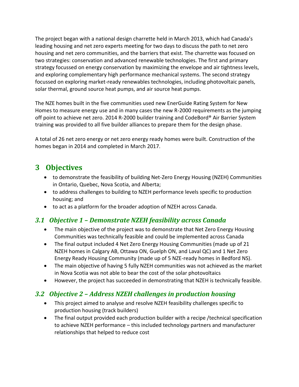The project began with a national design charrette held in March 2013, which had Canada's leading housing and net zero experts meeting for two days to discuss the path to net zero housing and net zero communities, and the barriers that exist. The charrette was focused on two strategies: conservation and advanced renewable technologies. The first and primary strategy focussed on energy conservation by maximizing the envelope and air tightness levels, and exploring complementary high performance mechanical systems. The second strategy focussed on exploring market-ready renewables technologies, including photovoltaic panels, solar thermal, ground source heat pumps, and air source heat pumps.

The NZE homes built in the five communities used new EnerGuide Rating System for New Homes to measure energy use and in many cases the new R-2000 requirements as the jumping off point to achieve net zero. 2014 R-2000 builder training and CodeBord® Air Barrier System training was provided to all five builder alliances to prepare them for the design phase.

A total of 26 net zero energy or net zero energy ready homes were built. Construction of the homes began in 2014 and completed in March 2017.

## <span id="page-4-0"></span>**3 Objectives**

- to demonstrate the feasibility of building Net-Zero Energy Housing (NZEH) Communities in Ontario, Quebec, Nova Scotia, and Alberta;
- to address challenges to building to NZEH performance levels specific to production housing; and
- to act as a platform for the broader adoption of NZEH across Canada.

#### <span id="page-4-1"></span>*3.1 Objective 1 – Demonstrate NZEH feasibility across Canada*

- The main objective of the project was to demonstrate that Net Zero Energy Housing Communities was technically feasible and could be implemented across Canada
- The final output included 4 Net Zero Energy Housing Communities (made up of 21 NZEH homes in Calgary AB, Ottawa ON, Guelph ON, and Laval QC) and 1 Net Zero Energy Ready Housing Community (made up of 5 NZE-ready homes in Bedford NS).
- The main objective of having 5 fully NZEH communities was not achieved as the market in Nova Scotia was not able to bear the cost of the solar photovoltaics
- However, the project has succeeded in demonstrating that NZEH is technically feasible.

#### <span id="page-4-2"></span>*3.2 Objective 2 – Address NZEH challenges in production housing*

- This project aimed to analyse and resolve NZEH feasibility challenges specific to production housing (track builders)
- The final output provided each production builder with a recipe /technical specification to achieve NZEH performance – this included technology partners and manufacturer relationships that helped to reduce cost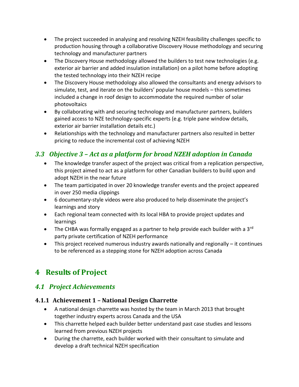- The project succeeded in analysing and resolving NZEH feasibility challenges specific to production housing through a collaborative Discovery House methodology and securing technology and manufacturer partners
- The Discovery House methodology allowed the builders to test new technologies (e.g. exterior air barrier and added insulation installation) on a pilot home before adopting the tested technology into their NZEH recipe
- The Discovery House methodology also allowed the consultants and energy advisors to simulate, test, and iterate on the builders' popular house models – this sometimes included a change in roof design to accommodate the required number of solar photovoltaics
- By collaborating with and securing technology and manufacturer partners, builders gained access to NZE technology-specific experts (e.g. triple pane window details, exterior air barrier installation details etc.)
- Relationships with the technology and manufacturer partners also resulted in better pricing to reduce the incremental cost of achieving NZEH

## <span id="page-5-0"></span>*3.3 Objective 3 – Act as a platform for broad NZEH adoption in Canada*

- The knowledge transfer aspect of the project was critical from a replication perspective, this project aimed to act as a platform for other Canadian builders to build upon and adopt NZEH in the near future
- The team participated in over 20 knowledge transfer events and the project appeared in over 250 media clippings
- 6 documentary-style videos were also produced to help disseminate the project's learnings and story
- Each regional team connected with its local HBA to provide project updates and learnings
- The CHBA was formally engaged as a partner to help provide each builder with a  $3^{rd}$ party private certification of NZEH performance
- This project received numerous industry awards nationally and regionally it continues to be referenced as a stepping stone for NZEH adoption across Canada

# <span id="page-5-1"></span>**4 Results of Project**

#### <span id="page-5-2"></span>*4.1 Project Achievements*

#### <span id="page-5-3"></span>**4.1.1 Achievement 1 – National Design Charrette**

- A national design charrette was hosted by the team in March 2013 that brought together industry experts across Canada and the USA
- This charrette helped each builder better understand past case studies and lessons learned from previous NZEH projects
- During the charrette, each builder worked with their consultant to simulate and develop a draft technical NZEH specification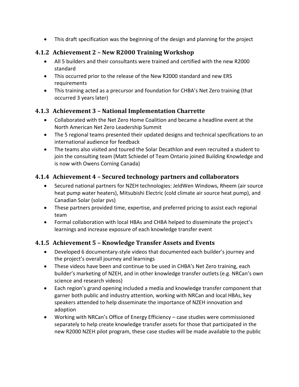• This draft specification was the beginning of the design and planning for the project

#### <span id="page-6-0"></span>**4.1.2 Achievement 2 – New R2000 Training Workshop**

- All 5 builders and their consultants were trained and certified with the new R2000 standard
- This occurred prior to the release of the New R2000 standard and new ERS requirements
- This training acted as a precursor and foundation for CHBA's Net Zero training (that occurred 3 years later)

#### <span id="page-6-1"></span>**4.1.3 Achievement 3 – National Implementation Charrette**

- Collaborated with the Net Zero Home Coalition and became a headline event at the North American Net Zero Leadership Summit
- The 5 regional teams presented their updated designs and technical specifications to an international audience for feedback
- The teams also visited and toured the Solar Decathlon and even recruited a student to join the consulting team (Matt Schiedel of Team Ontario joined Building Knowledge and is now with Owens Corning Canada)

#### <span id="page-6-2"></span>**4.1.4 Achievement 4 – Secured technology partners and collaborators**

- Secured national partners for NZEH technologies: JeldWen Windows, Rheem (air source heat pump water heaters), Mitsubishi Electric (cold climate air source heat pump), and Canadian Solar (solar pvs)
- These partners provided time, expertise, and preferred pricing to assist each regional team
- Formal collaboration with local HBAs and CHBA helped to disseminate the project's learnings and increase exposure of each knowledge transfer event

#### <span id="page-6-3"></span>**4.1.5 Achievement 5 – Knowledge Transfer Assets and Events**

- Developed 6 documentary-style videos that documented each builder's journey and the project's overall journey and learnings
- These videos have been and continue to be used in CHBA's Net Zero training, each builder's marketing of NZEH, and in other knowledge transfer outlets (e.g. NRCan's own science and research videos)
- Each region's grand opening included a media and knowledge transfer component that garner both public and industry attention, working with NRCan and local HBAs, key speakers attended to help disseminate the importance of NZEH innovation and adoption
- Working with NRCan's Office of Energy Efficiency case studies were commissioned separately to help create knowledge transfer assets for those that participated in the new R2000 NZEH pilot program, these case studies will be made available to the public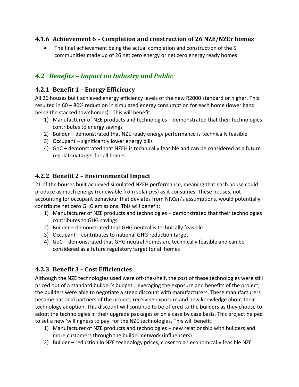#### <span id="page-7-0"></span>**4.1.6 Achievement 6 – Completion and construction of 26 NZE/NZEr homes**

The final achievement being the actual completion and construction of the 5 communities made up of 26 net zero energy or net zero energy ready homes

### <span id="page-7-1"></span>*4.2 Benefits – Impact on Industry and Public*

#### <span id="page-7-2"></span>**4.2.1 Benefit 1 – Energy Efficiency**

All 26 houses built achieved energy efficiency levels of the new R2000 standard or higher. This resulted in 60 – 80% reduction in simulated energy consumption for each home (lower band being the stacked townhomes). This will benefit:

- 1) Manufacturer of NZE products and technologies demonstrated that their technologies contributes to energy savings
- 2) Builder demonstrated that NZE ready energy performance is technically feasible
- 3) Occupant significantly lower energy bills
- 4) GoC demonstrated that NZEH is technically feasible and can be considered as a future regulatory target for all homes

#### <span id="page-7-3"></span>**4.2.2 Benefit 2 – Environmental Impact**

21 of the houses built achieved simulated NZEH performance, meaning that each house could produce as much energy (renewable from solar pvs) as it consumes. These houses, not accounting for occupant behaviour that deviates from NRCan's assumptions, would potentially contribute net zero GHG emissions. This will benefit:

- 1) Manufacturer of NZE products and technologies demonstrated that their technologies contributes to GHG savings
- 2) Builder demonstrated that GHG neutral is technically feasible
- 3) Occupant contributes to national GHG reduction target
- 4) GoC demonstrated that GHG neutral homes are technically feasible and can be considered as a future regulatory target for all homes

#### <span id="page-7-4"></span>**4.2.3 Benefit 3 – Cost Efficiencies**

Although the NZE technologies used were off-the-shelf, the cost of these technologies were still priced out of a standard builder's budget. Leveraging the exposure and benefits of the project, the builders were able to negotiate a steep discount with manufacturers. These manufacturers became national partners of the project, receiving exposure and new knowledge about their technology adoption. This discount will continue to be offered to the builders as they choose to adopt the technologies in their upgrade packages or on a case by case basis. This project helped to set a new 'willingness to pay' for the NZE technologies. This will benefit:

- 1) Manufacturer of NZE products and technologies new relationship with builders and more customers through the builder network (influencers)
- 2) Builder reduction in NZE technology prices, closer to an economically feasible NZE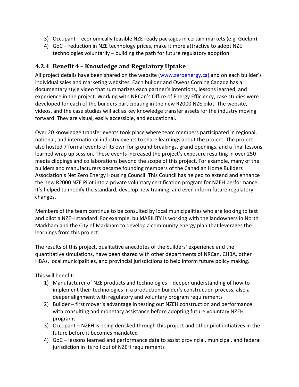- 3) Occupant economically feasible NZE ready packages in certain markets (e.g. Guelph)
- 4) GoC reduction in NZE technology prices, make it more attractive to adopt NZE technologies voluntarily – building the path for future regulatory adoption

#### <span id="page-8-0"></span>**4.2.4 Benefit 4 – Knowledge and Regulatory Uptake**

All project details have been shared on the website [\(www.zeroenergy.ca\)](http://www.zeroenergy.ca)/) and on each builder's individual sales and marketing websites. Each builder and Owens Corning Canada has a documentary style video that summarizes each partner's intentions, lessons learned, and experience in the project. Working with NRCan's Office of Energy Efficiency, case studies were developed for each of the builders participating in the new R2000 NZE pilot. The website, videos, and the case studies will act as key knowledge transfer assets for the industry moving forward. They are visual, easily accessible, and educational.

Over 20 knowledge transfer events took place where team members participated in regional, national, and international industry events to share learnings about the project. The project also hosted 7 formal events of its own for ground breakings, grand openings, and a final lessons learned wrap up session. These events increased the project's exposure resulting in over 250 media clippings and collaborations beyond the scope of this project. For example, many of the builders and manufacturers became founding members of the Canadian Home Builders Association's Net Zero Energy Housing Council. This Council has helped to extend and enhance the new R2000 NZE Pilot into a private voluntary certification program for NZEH performance. It's helped to modify the standard, develop new training, and even inform future regulatory changes.

Members of the team continue to be consulted by local municipalities who are looking to test and pilot a NZEH standard. For example, buildABILITY is working with the landowners in North Markham and the City of Markham to develop a community energy plan that leverages the learnings from this project.

The results of this project, qualitative anecdotes of the builders' experience and the quantitative simulations, have been shared with other departments of NRCan, CHBA, other HBAs, local municipalities, and provincial jurisdictions to help inform future policy making.

This will benefit:

- 1) Manufacturer of NZE products and technologies deeper understanding of how to implement their technologies in a production builder's construction process, also a deeper alignment with regulatory and voluntary program requirements
- 2) Builder first mover's advantage in testing out NZEH construction and performance with consulting and monetary assistance before adopting future voluntary NZEH programs
- 3) Occupant NZEH is being derisked through this project and other pilot initiatives in the future before it becomes mandated
- 4) GoC lessons learned and performance data to assist provincial, municipal, and federal jurisdiction in its roll out of NZEH requirements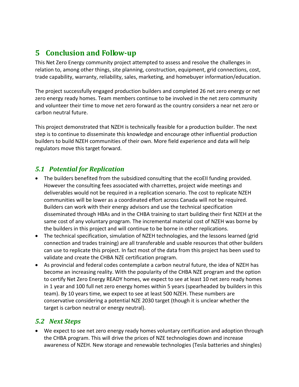## <span id="page-10-0"></span>**5 Conclusion and Follow-up**

This Net Zero Energy community project attempted to assess and resolve the challenges in relation to, among other things, site planning, construction, equipment, grid connections, cost, trade capability, warranty, reliability, sales, marketing, and homebuyer information/education.

The project successfully engaged production builders and completed 26 net zero energy or net zero energy ready homes. Team members continue to be involved in the net zero community and volunteer their time to move net zero forward as the country considers a near net zero or carbon neutral future.

This project demonstrated that NZEH is technically feasible for a production builder. The next step is to continue to disseminate this knowledge and encourage other influential production builders to build NZEH communities of their own. More field experience and data will help regulators move this target forward.

### <span id="page-10-1"></span>*5.1 Potential for Replication*

- The builders benefited from the subsidized consulting that the ecoEII funding provided. However the consulting fees associated with charrettes, project wide meetings and deliverables would not be required in a replication scenario. The cost to replicate NZEH communities will be lower as a coordinated effort across Canada will not be required. Builders can work with their energy advisors and use the technical specification disseminated through HBAs and in the CHBA training to start building their first NZEH at the same cost of any voluntary program. The incremental material cost of NZEH was borne by the builders in this project and will continue to be borne in other replications.
- The technical specification, simulation of NZEH technologies, and the lessons learned (grid connection and trades training) are all transferable and usable resources that other builders can use to replicate this project. In fact most of the data from this project has been used to validate and create the CHBA NZE certification program.
- As provincial and federal codes contemplate a carbon neutral future, the idea of NZEH has become an increasing reality. With the popularity of the CHBA NZE program and the option to certify Net Zero Energy READY homes, we expect to see at least 10 net zero ready homes in 1 year and 100 full net zero energy homes within 5 years (spearheaded by builders in this team). By 10 years time, we expect to see at least 500 NZEH. These numbers are conservative considering a potential NZE 2030 target (though it is unclear whether the target is carbon neutral or energy neutral).

#### <span id="page-10-2"></span>*5.2 Next Steps*

• We expect to see net zero energy ready homes voluntary certification and adoption through the CHBA program. This will drive the prices of NZE technologies down and increase awareness of NZEH. New storage and renewable technologies (Tesla batteries and shingles)